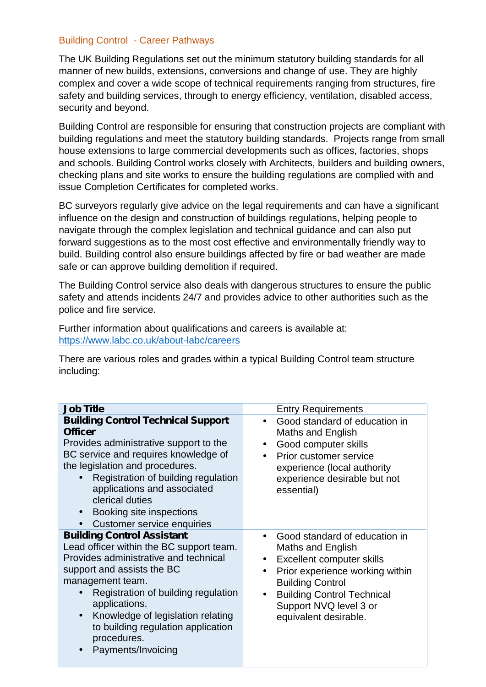## Building Control - Career Pathways

The UK Building Regulations set out the minimum statutory building standards for all manner of new builds, extensions, conversions and change of use. They are highly complex and cover a wide scope of technical requirements ranging from structures, fire safety and building services, through to energy efficiency, ventilation, disabled access, security and beyond.

Building Control are responsible for ensuring that construction projects are compliant with building regulations and meet the statutory building standards. Projects range from small house extensions to large commercial developments such as offices, factories, shops and schools. Building Control works closely with Architects, builders and building owners, checking plans and site works to ensure the building regulations are complied with and issue Completion Certificates for completed works.

BC surveyors regularly give advice on the legal requirements and can have a significant influence on the design and construction of buildings regulations, helping people to navigate through the complex legislation and technical guidance and can also put forward suggestions as to the most cost effective and environmentally friendly way to build. Building control also ensure buildings affected by fire or bad weather are made safe or can approve building demolition if required.

The Building Control service also deals with dangerous structures to ensure the public safety and attends incidents 24/7 and provides advice to other authorities such as the police and fire service.

Further information about qualifications and careers is available at: https://www.labc.co.uk/about-labc/careers

There are various roles and grades within a typical Building Control team structure including:

| <b>Job Title</b>                                                                                                                                                                                                                                                                                                                                 | <b>Entry Requirements</b>                                                                                                                                                                                                             |
|--------------------------------------------------------------------------------------------------------------------------------------------------------------------------------------------------------------------------------------------------------------------------------------------------------------------------------------------------|---------------------------------------------------------------------------------------------------------------------------------------------------------------------------------------------------------------------------------------|
| <b>Building Control Technical Support</b><br><b>Officer</b><br>Provides administrative support to the<br>BC service and requires knowledge of<br>the legislation and procedures.<br>Registration of building regulation<br>applications and associated<br>clerical duties<br>Booking site inspections<br>Customer service enquiries              | Good standard of education in<br><b>Maths and English</b><br>Good computer skills<br>Prior customer service<br>experience (local authority<br>experience desirable but not<br>essential)                                              |
| <b>Building Control Assistant</b><br>Lead officer within the BC support team.<br>Provides administrative and technical<br>support and assists the BC<br>management team.<br>Registration of building regulation<br>applications.<br>Knowledge of legislation relating<br>to building regulation application<br>procedures.<br>Payments/Invoicing | Good standard of education in<br>Maths and English<br>Excellent computer skills<br>Prior experience working within<br><b>Building Control</b><br><b>Building Control Technical</b><br>Support NVQ level 3 or<br>equivalent desirable. |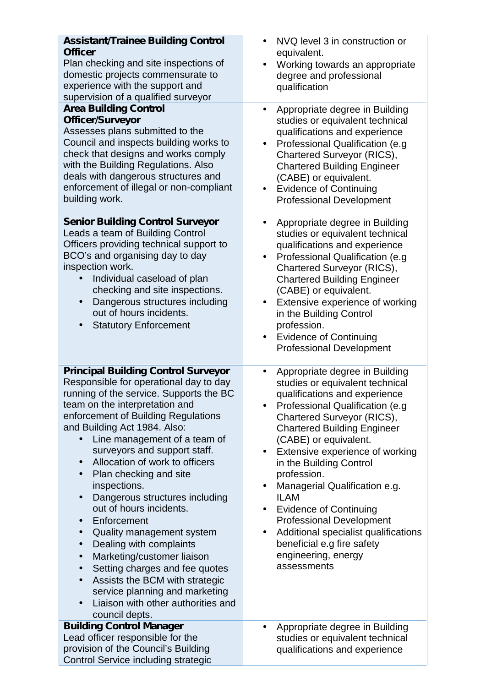| <b>Assistant/Trainee Building Control</b><br><b>Officer</b><br>Plan checking and site inspections of<br>domestic projects commensurate to<br>experience with the support and<br>supervision of a qualified surveyor                                                                                                                                                                                                                                                                                                                                                                                                                                                                                                  | NVQ level 3 in construction or<br>equivalent.<br>Working towards an appropriate<br>degree and professional<br>qualification                                                                                                                                                                                                                                                                                                                                                                                                                      |
|----------------------------------------------------------------------------------------------------------------------------------------------------------------------------------------------------------------------------------------------------------------------------------------------------------------------------------------------------------------------------------------------------------------------------------------------------------------------------------------------------------------------------------------------------------------------------------------------------------------------------------------------------------------------------------------------------------------------|--------------------------------------------------------------------------------------------------------------------------------------------------------------------------------------------------------------------------------------------------------------------------------------------------------------------------------------------------------------------------------------------------------------------------------------------------------------------------------------------------------------------------------------------------|
| <b>Area Building Control</b><br>Officer/Surveyor<br>Assesses plans submitted to the<br>Council and inspects building works to<br>check that designs and works comply<br>with the Building Regulations. Also<br>deals with dangerous structures and<br>enforcement of illegal or non-compliant<br>building work.                                                                                                                                                                                                                                                                                                                                                                                                      | Appropriate degree in Building<br>studies or equivalent technical<br>qualifications and experience<br>Professional Qualification (e.g.<br>Chartered Surveyor (RICS),<br><b>Chartered Building Engineer</b><br>(CABE) or equivalent.<br><b>Evidence of Continuing</b><br><b>Professional Development</b>                                                                                                                                                                                                                                          |
| <b>Senior Building Control Surveyor</b><br>Leads a team of Building Control<br>Officers providing technical support to<br>BCO's and organising day to day<br>inspection work.<br>Individual caseload of plan<br>checking and site inspections.<br>Dangerous structures including<br>out of hours incidents.<br><b>Statutory Enforcement</b>                                                                                                                                                                                                                                                                                                                                                                          | Appropriate degree in Building<br>studies or equivalent technical<br>qualifications and experience<br>Professional Qualification (e.g.<br>Chartered Surveyor (RICS),<br><b>Chartered Building Engineer</b><br>(CABE) or equivalent.<br>Extensive experience of working<br>in the Building Control<br>profession.<br><b>Evidence of Continuing</b><br><b>Professional Development</b>                                                                                                                                                             |
| <b>Principal Building Control Surveyor</b><br>Responsible for operational day to day<br>running of the service. Supports the BC<br>team on the interpretation and<br>enforcement of Building Regulations<br>and Building Act 1984. Also:<br>Line management of a team of<br>surveyors and support staff.<br>Allocation of work to officers<br>Plan checking and site<br>inspections.<br>Dangerous structures including<br>out of hours incidents.<br>Enforcement<br>Quality management system<br>Dealing with complaints<br>Marketing/customer liaison<br>Setting charges and fee quotes<br>Assists the BCM with strategic<br>service planning and marketing<br>Liaison with other authorities and<br>council depts. | Appropriate degree in Building<br>studies or equivalent technical<br>qualifications and experience<br>Professional Qualification (e.g.<br>Chartered Surveyor (RICS),<br><b>Chartered Building Engineer</b><br>(CABE) or equivalent.<br>Extensive experience of working<br>in the Building Control<br>profession.<br>Managerial Qualification e.g.<br><b>ILAM</b><br><b>Evidence of Continuing</b><br><b>Professional Development</b><br>Additional specialist qualifications<br>beneficial e.g fire safety<br>engineering, energy<br>assessments |
| <b>Building Control Manager</b><br>Lead officer responsible for the<br>provision of the Council's Building<br>Control Service including strategic                                                                                                                                                                                                                                                                                                                                                                                                                                                                                                                                                                    | Appropriate degree in Building<br>studies or equivalent technical<br>qualifications and experience                                                                                                                                                                                                                                                                                                                                                                                                                                               |